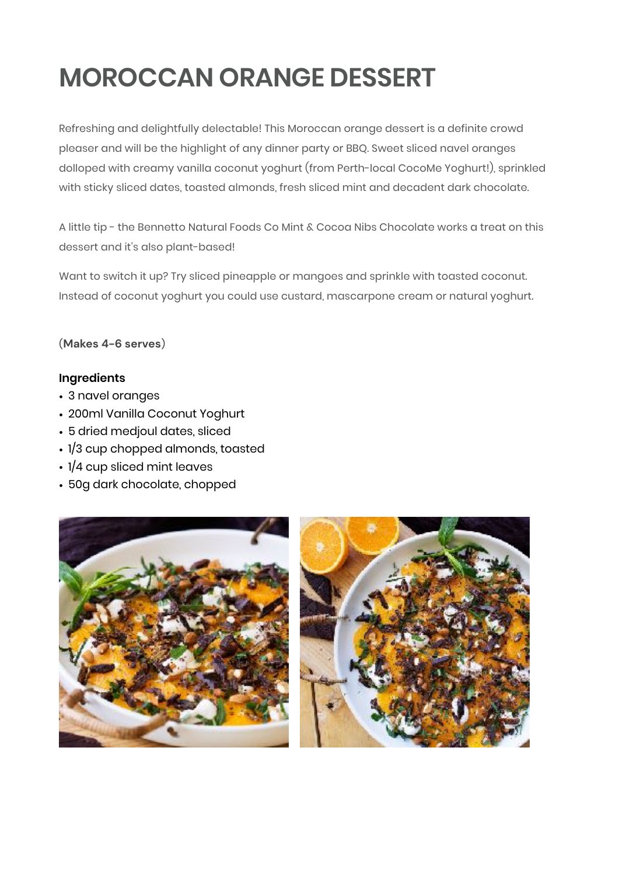## **MOROCCAN ORANGE DESSERT**

Refreshing and delightfully delectable! This Moroccan orange dessert is a definite crowd pleaser and will be the highlight of any dinner party or BBQ. Sweet sliced navel oranges dolloped with creamy vanilla coconut yoghurt (from Perth-local CocoMe Yoghurt!), sprinkled with sticky sliced dates, toasted almonds, fresh sliced mint and decadent dark chocolate.

A little tip - the Bennetto Natural Foods Co Mint & Cocoa Nibs Chocolate works a treat on this dessert and it's also plant-based!

Want to switch it up? Try sliced pineapple or mangoes and sprinkle with toasted coconut. Instead of coconut yoghurt you could use custard, mascarpone cream or natural yoghurt.

(**Makes 4-6 serves**)

## **Ingredients**

- 3 navel oranges
- 200ml Vanilla Coconut Yoghurt
- 5 dried medjoul dates, sliced
- 1/3 cup chopped almonds, toasted
- 1/4 cup sliced mint leaves
- 50g dark chocolate, chopped